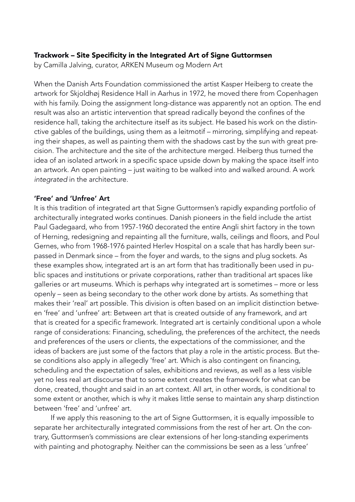# Trackwork – Site Specificity in the Integrated Art of Signe Guttormsen

by Camilla Jalving, curator, ARKEN Museum og Modern Art

When the Danish Arts Foundation commissioned the artist Kasper Heiberg to create the artwork for Skjoldhøj Residence Hall in Aarhus in 1972, he moved there from Copenhagen with his family. Doing the assignment long-distance was apparently not an option. The end result was also an artistic intervention that spread radically beyond the confines of the residence hall, taking the architecture itself as its subject. He based his work on the distinctive gables of the buildings, using them as a leitmotif – mirroring, simplifying and repeating their shapes, as well as painting them with the shadows cast by the sun with great precision. The architecture and the site of the architecture merged. Heiberg thus turned the idea of an isolated artwork in a specific space upside down by making the space itself into an artwork. An open painting – just waiting to be walked into and walked around. A work *integrated* in the architecture.

# 'Free' and 'Unfree' Art

It is this tradition of integrated art that Signe Guttormsen's rapidly expanding portfolio of architecturally integrated works continues. Danish pioneers in the field include the artist Paul Gadegaard, who from 1957-1960 decorated the entire Angli shirt factory in the town of Herning, redesigning and repainting all the furniture, walls, ceilings and floors, and Poul Gernes, who from 1968-1976 painted Herlev Hospital on a scale that has hardly been surpassed in Denmark since – from the foyer and wards, to the signs and plug sockets. As these examples show, integrated art is an art form that has traditionally been used in public spaces and institutions or private corporations, rather than traditional art spaces like galleries or art museums. Which is perhaps why integrated art is sometimes – more or less openly – seen as being secondary to the other work done by artists. As something that makes their 'real' art possible. This division is often based on an implicit distinction between 'free' and 'unfree' art: Between art that is created outside of any framework, and art that is created for a specific framework. Integrated art is certainly conditional upon a whole range of considerations: Financing, scheduling, the preferences of the architect, the needs and preferences of the users or clients, the expectations of the commissioner, and the ideas of backers are just some of the factors that play a role in the artistic process. But these conditions also apply in allegedly 'free' art. Which is also contingent on financing, scheduling and the expectation of sales, exhibitions and reviews, as well as a less visible yet no less real art discourse that to some extent creates the framework for what can be done, created, thought and said in an art context. All art, in other words, is conditional to some extent or another, which is why it makes little sense to maintain any sharp distinction between 'free' and 'unfree' art.

 If we apply this reasoning to the art of Signe Guttormsen, it is equally impossible to separate her architecturally integrated commissions from the rest of her art. On the contrary, Guttormsen's commissions are clear extensions of her long-standing experiments with painting and photography. Neither can the commissions be seen as a less 'unfree'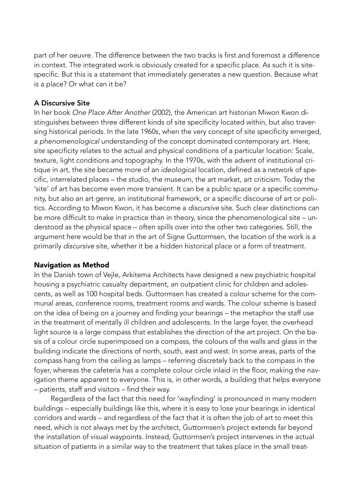part of her oeuvre. The difference between the two tracks is first and foremost a difference in context. The integrated work is obviously created for a specific place. As such it is sitespecific. But this is a statement that immediately generates a new question. Because what is a place? Or what can it be?

## A Discursive Site

In her book *One Place After Another* (2002), the American art historian Miwon Kwon distinguishes between three different kinds of site specificity located within, but also traversing historical periods. In the late 1960s, when the very concept of site specificity emerged, a *phenomenological* understanding of the concept dominated contemporary art. Here, site specificity relates to the actual and physical conditions of a particular location: Scale, texture, light conditions and topography. In the 1970s, with the advent of institutional critique in art, the site became more of an *ideological* location, defined as a network of specific, interrelated places – the studio, the museum, the art market, art criticism. Today the 'site' of art has become even more transient. It can be a public space or a specific community, but also an art genre, an institutional framework, or a specific discourse of art or politics. According to Miwon Kwon, it has become a *discursive* site. Such clear distinctions can be more difficult to make in practice than in theory, since the phenomenological site – understood as the physical space – often spills over into the other two categories. Still, the argument here would be that in the art of Signe Guttormsen, the location of the work is a primarily *discursive* site, whether it be a hidden historical place or a form of treatment.

### Navigation as Method

In the Danish town of Vejle, Arkitema Architects have designed a new psychiatric hospital housing a psychiatric casualty department, an outpatient clinic for children and adolescents, as well as 100 hospital beds. Guttormsen has created a colour scheme for the communal areas, conference rooms, treatment rooms and wards. The colour scheme is based on the idea of being on a journey and finding your bearings – the metaphor the staff use in the treatment of mentally ill children and adolescents. In the large foyer, the overhead light source is a large compass that establishes the direction of the art project. On the basis of a colour circle superimposed on a compass, the colours of the walls and glass in the building indicate the directions of north, south, east and west. In some areas, parts of the compass hang from the ceiling as lamps – referring discretely back to the compass in the foyer, whereas the cafeteria has a complete colour circle inlaid in the floor, making the navigation theme apparent to everyone. This is, in other words, a building that helps everyone *–* patients, staff and visitors *–* find their way.

 Regardless of the fact that this need for 'wayfinding' is pronounced in many modern buildings – especially buildings like this, where it is easy to lose your bearings in identical corridors and wards – and regardless of the fact that it is often the job of art to meet this need, which is not always met by the architect, Guttormsen's project extends far beyond the installation of visual waypoints. Instead, Guttormsen's project intervenes in the actual situation of patients in a similar way to the treatment that takes place in the small treat-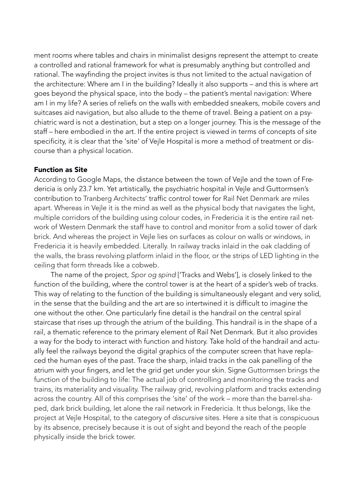ment rooms where tables and chairs in minimalist designs represent the attempt to create a controlled and rational framework for what is presumably anything but controlled and rational. The wayfinding the project invites is thus not limited to the actual navigation of the architecture: Where am I in the building? Ideally it also supports – and this is where art goes beyond the physical space, into the body – the patient's mental navigation: Where am I in my life? A series of reliefs on the walls with embedded sneakers, mobile covers and suitcases aid navigation, but also allude to the theme of travel. Being a patient on a psychiatric ward is not a destination, but a step on a longer journey. This is the message of the staff – here embodied in the art. If the entire project is viewed in terms of concepts of site specificity, it is clear that the 'site' of Vejle Hospital is more a method of treatment or discourse than a physical location.

### Function as Site

According to Google Maps, the distance between the town of Vejle and the town of Fredericia is only 23.7 km. Yet artistically, the psychiatric hospital in Vejle and Guttormsen's contribution to Tranberg Architects' traffic control tower for Rail Net Denmark are miles apart. Whereas in Vejle it is the mind as well as the physical body that navigates the light, multiple corridors of the building using colour codes, in Fredericia it is the entire rail network of Western Denmark the staff have to control and monitor from a solid tower of dark brick. And whereas the project in Vejle lies on surfaces as colour on walls or windows, in Fredericia it is heavily embedded. Literally. In railway tracks inlaid in the oak cladding of the walls, the brass revolving platform inlaid in the floor, or the strips of LED lighting in the ceiling that form threads like a cobweb.

The name of the project, *Spor og spind* ['Tracks and Webs'], is closely linked to the function of the building, where the control tower is at the heart of a spider's web of tracks. This way of relating to the function of the building is simultaneously elegant and very solid, in the sense that the building and the art are so intertwined it is difficult to imagine the one without the other. One particularly fine detail is the handrail on the central spiral staircase that rises up through the atrium of the building. This handrail is in the shape of a rail, a thematic reference to the primary element of Rail Net Denmark. But it also provides a way for the body to interact with function and history. Take hold of the handrail and actually feel the railways beyond the digital graphics of the computer screen that have replaced the human eyes of the past. Trace the sharp, inlaid tracks in the oak panelling of the atrium with your fingers, and let the grid get under your skin. Signe Guttormsen brings the function of the building to life: The actual job of controlling and monitoring the tracks and trains, its materiality and visuality. The railway grid, revolving platform and tracks extending across the country. All of this comprises the 'site' of the work – more than the barrel-shaped, dark brick building, let alone the rail network in Fredericia. It thus belongs, like the project at Vejle Hospital, to the category of *discursive* sites. Here a site that is conspicuous by its absence, precisely because it is out of sight and beyond the reach of the people physically inside the brick tower.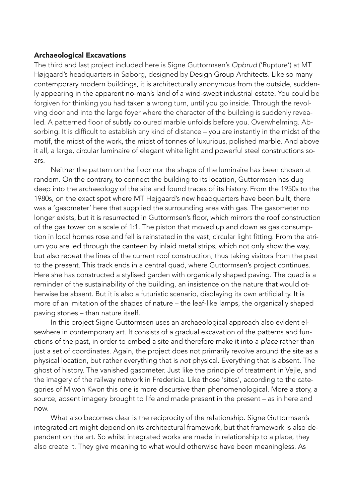## Archaeological Excavations

The third and last project included here is Signe Guttormsen's *Opbrud* ('Rupture') at MT Højgaard's headquarters in Søborg, designed by Design Group Architects. Like so many contemporary modern buildings, it is architecturally anonymous from the outside, suddenly appearing in the apparent no-man's land of a wind-swept industrial estate. You could be forgiven for thinking you had taken a wrong turn, until you go inside. Through the revolving door and into the large foyer where the character of the building is suddenly revealed. A patterned floor of subtly coloured marble unfolds before you. Overwhelming. Absorbing. It is difficult to establish any kind of distance – you are instantly in the midst of the motif, the midst of the work, the midst of tonnes of luxurious, polished marble. And above it all, a large, circular luminaire of elegant white light and powerful steel constructions soars.

Neither the pattern on the floor nor the shape of the luminaire has been chosen at random. On the contrary, to connect the building to its location, Guttormsen has dug deep into the archaeology of the site and found traces of its history. From the 1950s to the 1980s, on the exact spot where MT Højgaard's new headquarters have been built, there was a 'gasometer' here that supplied the surrounding area with gas. The gasometer no longer exists, but it is resurrected in Guttormsen's floor, which mirrors the roof construction of the gas tower on a scale of 1:1. The piston that moved up and down as gas consumption in local homes rose and fell is reinstated in the vast, circular light fitting. From the atrium you are led through the canteen by inlaid metal strips, which not only show the way, but also repeat the lines of the current roof construction, thus taking visitors from the past to the present. This track ends in a central quad, where Guttormsen's project continues. Here she has constructed a stylised garden with organically shaped paving. The quad is a reminder of the sustainability of the building, an insistence on the nature that would otherwise be absent. But it is also a futuristic scenario, displaying its own artificiality. It is more of an imitation of the shapes of nature – the leaf-like lamps, the organically shaped paving stones – than nature itself.

In this project Signe Guttormsen uses an archaeological approach also evident elsewhere in contemporary art. It consists of a gradual excavation of the patterns and functions of the past, in order to embed a site and therefore make it into a *place* rather than just a set of coordinates. Again, the project does not primarily revolve around the site as a physical location, but rather everything that is *not* physical. Everything that is absent. The ghost of history. The vanished gasometer. Just like the principle of treatment in Vejle, and the imagery of the railway network in Fredericia. Like those 'sites', according to the categories of Miwon Kwon this one is more discursive than phenomenological. More a story, a source, absent imagery brought to life and made present in the present – as in here and now.

What also becomes clear is the reciprocity of the relationship. Signe Guttormsen's integrated art might depend on its architectural framework, but that framework is also dependent on the art. So whilst integrated works are made in relationship to a place, they also create it. They give meaning to what would otherwise have been meaningless. As